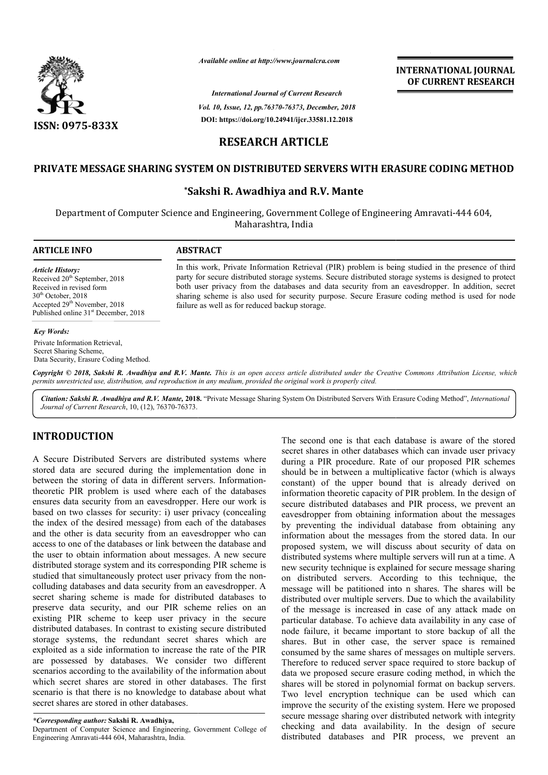

*Available online at http://www.journalcra.com*

*International Journal of Current Research Vol. 10, Issue, 12, pp.76370-76373, December, 2018* **DOI: https://doi.org/10.24941/ijcr.33581.12.2018**

**INTERNATIONAL JOURNAL OF CURRENT RESEARCH**

# **RESEARCH ARTICLE**

# **PRIVATE MESSAGE SHARING SYSTEM ON DISTRIBUTED SERVERS WITH ERASURE CODING METHOD DISTRIBUTED SERVERS METHOD**

## **\*Sakshi R. Sakshi Awadhiya and R.V. Mante**

Department of Computer Science and Engineering, Government College of Engineering Amravati-444 604, Maharashtra, India

> In this work, Private Information Retrieval (PIR) problem is being studied in the presence of third party for secure distributed storage systems. Secure distributed storage systems is designed to protect both user privacy from the databases and data security from an eavesdropper. In addition, secret In this work, Private Information Retrieval (PIR) problem is being studied in the presence of third party for secure distributed storage systems. Secure distributed storage systems is designed to protect both user privacy

## **ARTICLE INFO ABSTRACT**

permits unrestricted use, distribution, and reproduction in any medium, provided the original work is properly cited.

*Article History:* Received  $20<sup>th</sup>$  September, 2018 Received in revised form 30<sup>th</sup> October, 2018 Accepted 29<sup>th</sup> November, 2018 Published online 31<sup>st</sup> December, 2018

### *Key Words:*

Private Information Retrieval, Secret Sharing Scheme, Data Security, Erasure Coding Method.

Copyright © 2018, Sakshi R. Awadhiya and R.V. Mante. This is an open access article distributed under the Creative Commons Attribution License, which

failure as well as for reduced backup storage.

Citation: Sakshi R. Awadhiya and R.V. Mante, 2018. "Private Message Sharing System On Distributed Servers With Erasure Coding Method", *International Journal of Current Research*, 10, (12), 76370-76373.

## **INTRODUCTION**

A Secure Distributed Servers are distributed systems where stored data are secured during the implementation done in between the storing of data in different servers. Informationtheoretic PIR problem is used where each of the databases ensures data security from an eavesdropper. Here our work is based on two classes for security: i) user privacy (concealing the index of the desired message) from each of the databases and the other is data security from an eavesdropper who can access to one of the databases or link between the database and the user to obtain information about messages. A new secure distributed storage system and its corresponding PIR scheme is studied that simultaneously protect user privacy from the non colluding databases and data security from an eavesdropper. A secret sharing scheme is made for distributed databases to preserve data security, and our PIR scheme relies on an existing PIR scheme to keep user privacy in the secure distributed databases. In contrast to existing secure distrib distributed storage systems, the redundant secret shares which are exploited as a side information to increase the rate of the PIR are possessed by databases. We consider two different scenarios according to the availability of the information about which secret shares are stored in other databases. The first scenario is that there is no knowledge to database about what secret shares are stored in other databases. ty from an eavesdropper. Here our work is<br>es for security: i) user privacy (concealing<br>ssired message) from each of the databases<br>tta security from an eavesdropper who can<br>exitation and information about messages. A new se

*\*Corresponding author:* **Sakshi R. Awadhiya,**

Department of Computer Science and Engineering, Government College of Engineering Amravati-444 604, Maharashtra, India.

The second one is that each database is aware of the stored secret shares in other databases which can invade user privacy during a PIR procedure. Rate of our proposed PIR schemes should be in between a multiplicative factor (which is always constant) of the upper bound that is already derived on information theoretic capacity of PIR problem. In the design of secure distributed databases and PIR process, we prevent an eavesdropper from obtaining information about the messages by preventing the individual database from obtaining any information about the messages from the stored data. In our proposed system, we will discuss about security of data on proposed system, we will discuss about security of data on distributed systems where multiple servers will run at a time. A new security technique is explained for secure message sharing on distributed servers. According to this technique, the message will be patitioned into n shares. The shares will be distributed over multiple servers. Due to which the availability of the message is increased in case of any attack made on particular database. To achieve data availability in any case of node failure, it became important to store backup of all the of the message is increased in case of any attack made on particular database. To achieve data availability in any case of node failure, it became important to store backup of all the shares. But in other case, the server consumed by the same shares of messages on multiple servers. Therefore to reduced server space required to store backup of data we proposed secure erasure coding method, in which the shares will be stored in polynomial format on backup servers. Two level encryption technique can be used which can improve the security of the existing system. Here we proposed secure message sharing over distributed network with integrity checking and data availability. In the design of secure secure message sharing over distributed network with integrity checking and data availability. In the design of secure distributed databases and PIR process, we prevent an The second one is that each database is aware of the stored ecret shares in other databases which can invade user privacy luring a PIR procedure. Rate of our proposed PIR schemes hould be in between a multiplicative factor security technique is explained for secure message sharing distributed servers. According to this technique, the sage will be patitioned into n shares. The shares will be ibuted over multiple servers. Due to which the avai by the same shares of messages on multip<br>to reduced server space required to store<br>roposed secure erasure coding method, in<br>l be stored in polynomial format on back<br>l encryption technique can be used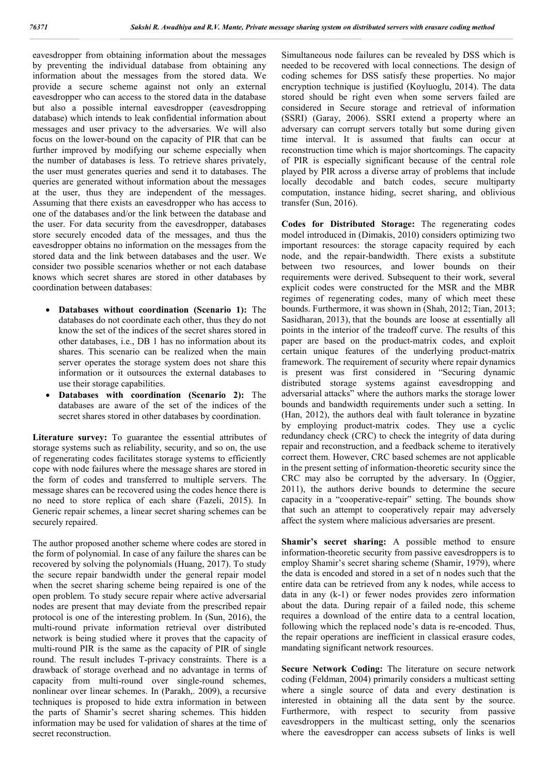eavesdropper from obtaining information about the messages by preventing the individual database from obtaining any information about the messages from the stored data. We provide a secure scheme against not only an external eavesdropper who can access to the stored data in the database but also a possible internal eavesdropper (eavesdropping database) which intends to leak confidential information about messages and user privacy to the adversaries. We will also focus on the lower-bound on the capacity of PIR that can be further improved by modifying our scheme especially when the number of databases is less. To retrieve shares privately, the user must generates queries and send it to databases. The queries are generated without information about the messages at the user, thus they are independent of the messages. Assuming that there exists an eavesdropper who has access to one of the databases and/or the link between the database and the user. For data security from the eavesdropper, databases store securely encoded data of the messages, and thus the eavesdropper obtains no information on the messages from the stored data and the link between databases and the user. We consider two possible scenarios whether or not each database knows which secret shares are stored in other databases by coordination between databases:

- **Databases without coordination (Scenario 1):** The databases do not coordinate each other, thus they do not know the set of the indices of the secret shares stored in other databases, i.e., DB 1 has no information about its shares. This scenario can be realized when the main server operates the storage system does not share this information or it outsources the external databases to use their storage capabilities.
- **Databases with coordination (Scenario 2):** The databases are aware of the set of the indices of the secret shares stored in other databases by coordination.

Literature survey: To guarantee the essential attributes of storage systems such as reliability, security, and so on, the use of regenerating codes facilitates storage systems to efficiently cope with node failures where the message shares are stored in the form of codes and transferred to multiple servers. The message shares can be recovered using the codes hence there is no need to store replica of each share (Fazeli, 2015). In Generic repair schemes, a linear secret sharing schemes can be securely repaired.

The author proposed another scheme where codes are stored in the form of polynomial. In case of any failure the shares can be recovered by solving the polynomials (Huang, 2017). To study the secure repair bandwidth under the general repair model when the secret sharing scheme being repaired is one of the open problem. To study secure repair where active adversarial nodes are present that may deviate from the prescribed repair protocol is one of the interesting problem. In (Sun, 2016), the multi-round private information retrieval over distributed network is being studied where it proves that the capacity of multi-round PIR is the same as the capacity of PIR of single round. The result includes T-privacy constraints. There is a drawback of storage overhead and no advantage in terms of capacity from multi-round over single-round schemes, nonlinear over linear schemes. In (Parakh,. 2009), a recursive techniques is proposed to hide extra information in between the parts of Shamir's secret sharing schemes. This hidden information may be used for validation of shares at the time of secret reconstruction.

Simultaneous node failures can be revealed by DSS which is needed to be recovered with local connections. The design of coding schemes for DSS satisfy these properties. No major encryption technique is justified (Koyluoglu, 2014). The data stored should be right even when some servers failed are considered in Secure storage and retrieval of information (SSRI) (Garay, 2006). SSRI extend a property where an adversary can corrupt servers totally but some during given time interval. It is assumed that faults can occur at reconstruction time which is major shortcomings. The capacity of PIR is especially significant because of the central role played by PIR across a diverse array of problems that include locally decodable and batch codes, secure multiparty computation, instance hiding, secret sharing, and oblivious transfer (Sun, 2016).

**Codes for Distributed Storage:** The regenerating codes model introduced in (Dimakis, 2010) considers optimizing two important resources: the storage capacity required by each node, and the repair-bandwidth. There exists a substitute between two resources, and lower bounds on their requirements were derived. Subsequent to their work, several explicit codes were constructed for the MSR and the MBR regimes of regenerating codes, many of which meet these bounds. Furthermore, it was shown in (Shah, 2012; Tian, 2013; Sasidharan, 2013), that the bounds are loose at essentially all points in the interior of the tradeoff curve. The results of this paper are based on the product-matrix codes, and exploit certain unique features of the underlying product-matrix framework. The requirement of security where repair dynamics is present was first considered in "Securing dynamic distributed storage systems against eavesdropping and adversarial attacks" where the authors marks the storage lower bounds and bandwidth requirements under such a setting. In (Han, 2012), the authors deal with fault tolerance in byzatine by employing product-matrix codes. They use a cyclic redundancy check (CRC) to check the integrity of data during repair and reconstruction, and a feedback scheme to iteratively correct them. However, CRC based schemes are not applicable in the present setting of information-theoretic security since the CRC may also be corrupted by the adversary. In (Oggier, 2011), the authors derive bounds to determine the secure capacity in a "cooperative-repair" setting. The bounds show that such an attempt to cooperatively repair may adversely affect the system where malicious adversaries are present.

**Shamir's secret sharing:** A possible method to ensure information-theoretic security from passive eavesdroppers is to employ Shamir's secret sharing scheme (Shamir, 1979), where the data is encoded and stored in a set of n nodes such that the entire data can be retrieved from any k nodes, while access to data in any (k-1) or fewer nodes provides zero information about the data. During repair of a failed node, this scheme requires a download of the entire data to a central location, following which the replaced node's data is re-encoded. Thus, the repair operations are inefficient in classical erasure codes, mandating significant network resources.

**Secure Network Coding:** The literature on secure network coding (Feldman, 2004) primarily considers a multicast setting where a single source of data and every destination is interested in obtaining all the data sent by the source. Furthermore, with respect to security from passive eavesdroppers in the multicast setting, only the scenarios where the eavesdropper can access subsets of links is well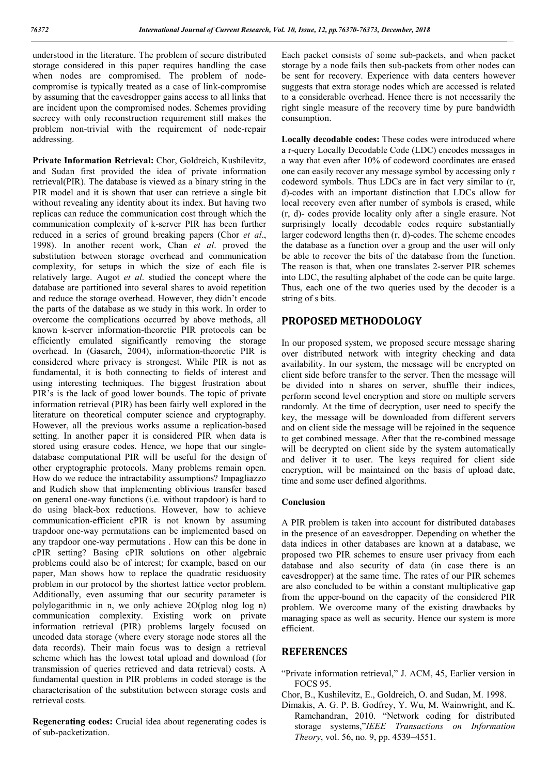understood in the literature. The problem of secure distributed storage considered in this paper requires handling the case when nodes are compromised. The problem of nodecompromise is typically treated as a case of link-compromise by assuming that the eavesdropper gains access to all links that are incident upon the compromised nodes. Schemes providing secrecy with only reconstruction requirement still makes the problem non-trivial with the requirement of node-repair addressing.

**Private Information Retrieval:** Chor, Goldreich, Kushilevitz, and Sudan first provided the idea of private information retrieval(PIR). The database is viewed as a binary string in the PIR model and it is shown that user can retrieve a single bit without revealing any identity about its index. But having two replicas can reduce the communication cost through which the communication complexity of k-server PIR has been further reduced in a series of ground breaking papers (Chor *et al*., 1998). In another recent work, Chan *et al*. proved the substitution between storage overhead and communication complexity, for setups in which the size of each file is relatively large. Augot *et al*. studied the concept where the database are partitioned into several shares to avoid repetition and reduce the storage overhead. However, they didn't encode the parts of the database as we study in this work. In order to overcome the complications occurred by above methods, all known k-server information-theoretic PIR protocols can be efficiently emulated significantly removing the storage overhead. In (Gasarch, 2004), information-theoretic PIR is considered where privacy is strongest. While PIR is not as fundamental, it is both connecting to fields of interest and using interesting techniques. The biggest frustration about PIR's is the lack of good lower bounds. The topic of private information retrieval (PIR) has been fairly well explored in the literature on theoretical computer science and cryptography. However, all the previous works assume a replication-based setting. In another paper it is considered PIR when data is stored using erasure codes. Hence, we hope that our singledatabase computational PIR will be useful for the design of other cryptographic protocols. Many problems remain open. How do we reduce the intractability assumptions? Impagliazzo and Rudich show that implementing oblivious transfer based on general one-way functions (i.e. without trapdoor) is hard to do using black-box reductions. However, how to achieve communication-efficient cPIR is not known by assuming trapdoor one-way permutations can be implemented based on any trapdoor one-way permutations . How can this be done in cPIR setting? Basing cPIR solutions on other algebraic problems could also be of interest; for example, based on our paper, Man shows how to replace the quadratic residuosity problem in our protocol by the shortest lattice vector problem. Additionally, even assuming that our security parameter is polylogarithmic in n, we only achieve 2O(plog nlog log n) communication complexity. Existing work on private information retrieval (PIR) problems largely focused on uncoded data storage (where every storage node stores all the data records). Their main focus was to design a retrieval scheme which has the lowest total upload and download (for transmission of queries retrieved and data retrieval) costs. A fundamental question in PIR problems in coded storage is the characterisation of the substitution between storage costs and retrieval costs.

**Regenerating codes:** Crucial idea about regenerating codes is of sub-packetization.

Each packet consists of some sub-packets, and when packet storage by a node fails then sub-packets from other nodes can be sent for recovery. Experience with data centers however suggests that extra storage nodes which are accessed is related to a considerable overhead. Hence there is not necessarily the right single measure of the recovery time by pure bandwidth consumption.

**Locally decodable codes:** These codes were introduced where a r-query Locally Decodable Code (LDC) encodes messages in a way that even after 10% of codeword coordinates are erased one can easily recover any message symbol by accessing only r codeword symbols. Thus LDCs are in fact very similar to (r, d)-codes with an important distinction that LDCs allow for local recovery even after number of symbols is erased, while (r, d)- codes provide locality only after a single erasure. Not surprisingly locally decodable codes require substantially larger codeword lengths then (r, d)-codes. The scheme encodes the database as a function over a group and the user will only be able to recover the bits of the database from the function. The reason is that, when one translates 2-server PIR schemes into LDC, the resulting alphabet of the code can be quite large. Thus, each one of the two queries used by the decoder is a string of s bits.

# **PROPOSED METHODOLOGY**

In our proposed system, we proposed secure message sharing over distributed network with integrity checking and data availability. In our system, the message will be encrypted on client side before transfer to the server. Then the message will be divided into n shares on server, shuffle their indices, perform second level encryption and store on multiple servers randomly. At the time of decryption, user need to specify the key, the message will be downloaded from different servers and on client side the message will be rejoined in the sequence to get combined message. After that the re-combined message will be decrypted on client side by the system automatically and deliver it to user. The keys required for client side encryption, will be maintained on the basis of upload date, time and some user defined algorithms.

## **Conclusion**

A PIR problem is taken into account for distributed databases in the presence of an eavesdropper. Depending on whether the data indices in other databases are known at a database, we proposed two PIR schemes to ensure user privacy from each database and also security of data (in case there is an eavesdropper) at the same time. The rates of our PIR schemes are also concluded to be within a constant multiplicative gap from the upper-bound on the capacity of the considered PIR problem. We overcome many of the existing drawbacks by managing space as well as security. Hence our system is more efficient.

## **REFERENCES**

- "Private information retrieval," J. ACM, 45, Earlier version in FOCS 95.
- Chor, B., Kushilevitz, E., Goldreich, O. and Sudan, M. 1998.
- Dimakis, A. G. P. B. Godfrey, Y. Wu, M. Wainwright, and K. Ramchandran, 2010. "Network coding for distributed storage systems,"*IEEE Transactions on Information Theory*, vol. 56, no. 9, pp. 4539–4551.